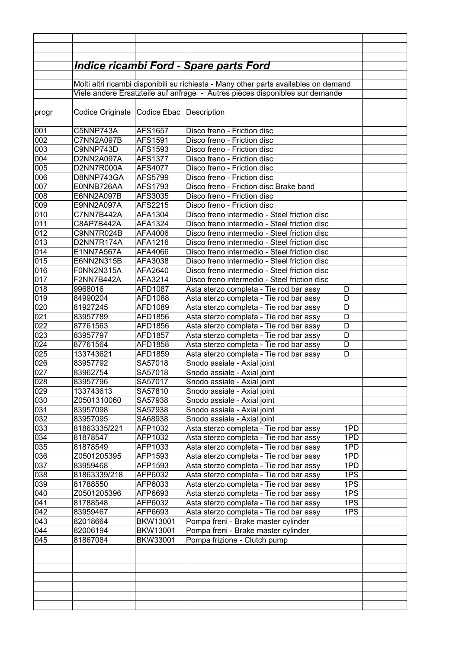|            |                                                                              |                    | <u> Indice ricambi Ford - Spare parts Ford</u>                                                   |  |  |
|------------|------------------------------------------------------------------------------|--------------------|--------------------------------------------------------------------------------------------------|--|--|
|            |                                                                              |                    | Molti altri ricambi disponibili su richiesta - Many other parts availables on demand             |  |  |
|            | Viele andere Ersatzteile auf anfrage - Autres pièces disponibles sur demande |                    |                                                                                                  |  |  |
|            |                                                                              |                    |                                                                                                  |  |  |
| progr      | Codice Originale   Codice Ebac   Description                                 |                    |                                                                                                  |  |  |
|            |                                                                              |                    |                                                                                                  |  |  |
| 001        | C5NNP743A                                                                    | AFS1657            | Disco freno - Friction disc                                                                      |  |  |
| 002        | C7NN2A097B                                                                   | AFS1591            | Disco freno - Friction disc                                                                      |  |  |
| 003        | C9NNP743D                                                                    | AFS1593            | Disco freno - Friction disc                                                                      |  |  |
| 004        | D2NN2A097A                                                                   | <b>AFS1377</b>     | Disco freno - Friction disc                                                                      |  |  |
| 005        | D2NN7R000A                                                                   | AFS4077            | Disco freno - Friction disc                                                                      |  |  |
| 006        | D8NNP743GA                                                                   | AFS5799            | Disco freno - Friction disc                                                                      |  |  |
| 007<br>008 | E0NNB726AA                                                                   | AFS1793<br>AFS3035 | Disco freno - Friction disc Brake band<br>Disco freno - Friction disc                            |  |  |
| 009        | E6NN2A097B<br>E9NN2A097A                                                     | AFS2215            | Disco freno - Friction disc                                                                      |  |  |
| 010        | C7NN7B442A                                                                   | AFA1304            | Disco freno intermedio - Steel friction disc                                                     |  |  |
| 011        | C8AP7B442A                                                                   | AFA1324            | Disco freno intermedio - Steel friction disc                                                     |  |  |
| 012        | C9NN7R024B                                                                   | AFA4006            | Disco freno intermedio - Steel friction disc                                                     |  |  |
| 013        | D2NN7R174A                                                                   | AFA1216            | Disco freno intermedio - Steel friction disc                                                     |  |  |
| 014        | E1NN7A567A                                                                   | AFA4066            | Disco freno intermedio - Steel friction disc                                                     |  |  |
| 015        | E6NN2N315B                                                                   | AFA3038            | Disco freno intermedio - Steel friction disc                                                     |  |  |
| 016        | F0NN2N315A                                                                   | AFA2640            | Disco freno intermedio - Steel friction disc                                                     |  |  |
| 017        | F2NN7B442A                                                                   | AFA3214            | Disco freno intermedio - Steel friction disc                                                     |  |  |
| 018        | 9968016                                                                      | AFD1087            | Asta sterzo completa - Tie rod bar assy<br>D                                                     |  |  |
| 019        | 84990204                                                                     | AFD1088            | Asta sterzo completa - Tie rod bar assy<br>D                                                     |  |  |
| 020        | 81927245                                                                     | AFD1089            | Asta sterzo completa - Tie rod bar assy<br>D                                                     |  |  |
| 021        | 83957789                                                                     | AFD1856            | Asta sterzo completa - Tie rod bar assy<br>D                                                     |  |  |
| 022        | 87761563                                                                     | AFD1856            | Asta sterzo completa - Tie rod bar assy<br>D                                                     |  |  |
| 023        | 83957797                                                                     | AFD1857            | D<br>Asta sterzo completa - Tie rod bar assy                                                     |  |  |
| 024        | 87761564                                                                     | AFD1858            | Asta sterzo completa - Tie rod bar assy<br>D                                                     |  |  |
| 025        | 133743621                                                                    | AFD1859            | Asta sterzo completa - Tie rod bar assy<br>D                                                     |  |  |
| 026<br>027 | 83957792<br>83962754                                                         | SA57018<br>SA57018 | Snodo assiale - Axial joint<br>Snodo assiale - Axial joint                                       |  |  |
| 028        | 83957796                                                                     | SA57017            | Snodo assiale - Axial joint                                                                      |  |  |
| 029        | 133743613                                                                    | SA57810            | Snodo assiale - Axial joint                                                                      |  |  |
| 030        | Z0501310060                                                                  | SA57938            | Snodo assiale - Axial joint                                                                      |  |  |
| 031        | 83957098                                                                     | SA57938            | Snodo assiale - Axial joint                                                                      |  |  |
| 032        | 83957095                                                                     | SA68938            | Snodo assiale - Axial joint                                                                      |  |  |
| 033        | 81863335/221                                                                 | AFP1032            | Asta sterzo completa - Tie rod bar assy<br>1PD                                                   |  |  |
| 034        | 81878547                                                                     | AFP1032            | Asta sterzo completa - Tie rod bar assy<br>1PD                                                   |  |  |
| 035        | 81878549                                                                     | AFP1033            | Asta sterzo completa - Tie rod bar assy<br>1PD                                                   |  |  |
| 036        | Z0501205395                                                                  | AFP1593            | Asta sterzo completa - Tie rod bar assy<br>1PD                                                   |  |  |
| 037        | 83959468                                                                     | AFP1593            | 1PD<br>Asta sterzo completa - Tie rod bar assy                                                   |  |  |
| 038        | 81863339/218                                                                 | AFP6032            | Asta sterzo completa - Tie rod bar assy<br>1PS                                                   |  |  |
| 039        | 81788550                                                                     | AFP6033            | 1PS<br>Asta sterzo completa - Tie rod bar assy                                                   |  |  |
| 040        | Z0501205396                                                                  | AFP6693            | 1PS<br>Asta sterzo completa - Tie rod bar assy                                                   |  |  |
| 041<br>042 | 81788548<br>83959467                                                         | AFP6032<br>AFP6693 | 1PS<br>Asta sterzo completa - Tie rod bar assy<br>Asta sterzo completa - Tie rod bar assy<br>1PS |  |  |
| 043        | 82018664                                                                     | BKW13001           | Pompa freni - Brake master cylinder                                                              |  |  |
| 044        | 82006194                                                                     | BKW13001           | Pompa freni - Brake master cylinder                                                              |  |  |
| 045        | 81867084                                                                     | BKW33001           | Pompa frizione - Clutch pump                                                                     |  |  |
|            |                                                                              |                    |                                                                                                  |  |  |
|            |                                                                              |                    |                                                                                                  |  |  |
|            |                                                                              |                    |                                                                                                  |  |  |
|            |                                                                              |                    |                                                                                                  |  |  |
|            |                                                                              |                    |                                                                                                  |  |  |
|            |                                                                              |                    |                                                                                                  |  |  |
|            |                                                                              |                    |                                                                                                  |  |  |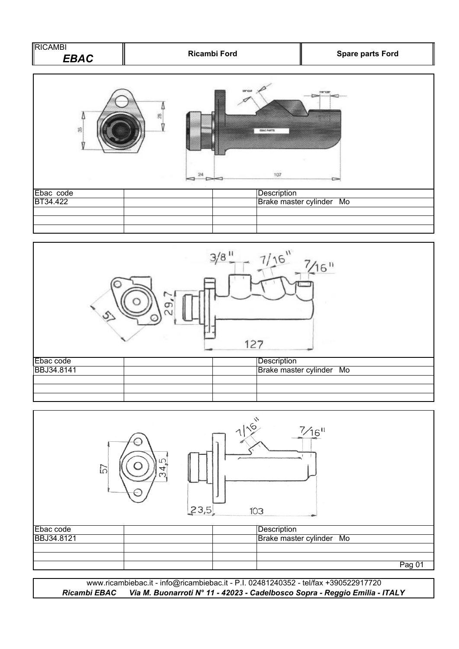| AMBI                 |              |                         |
|----------------------|--------------|-------------------------|
| RIC<br> <br> <br>3AC | Ricambi Ford | <b>Spare parts Ford</b> |







*Ricambi EBAC Via M. Buonarroti N° 11 - 42023 - Cadelbosco Sopra - Reggio Emilia - ITALY* www.ricambiebac.it - info@ricambiebac.it - P.I. 02481240352 - tel/fax +390522917720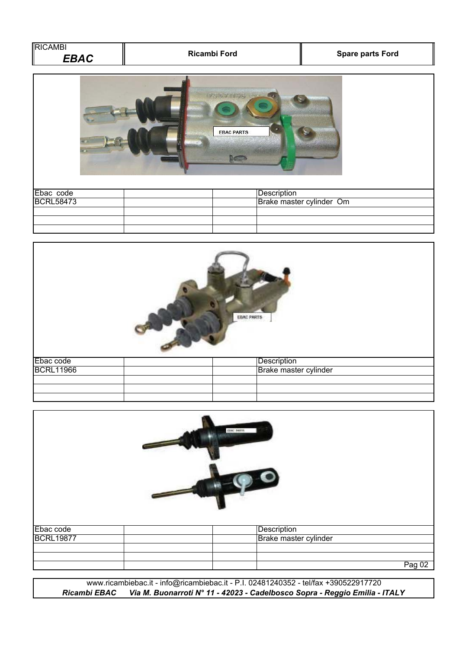| ו חוי<br>FRAC | Ricambi Ford | <b>Spare parts Ford</b> |  |
|---------------|--------------|-------------------------|--|
|               |              |                         |  |





|                  | DNC Nets |                       |        |
|------------------|----------|-----------------------|--------|
| Ebac code        |          | Description           |        |
| <b>BCRL19877</b> |          | Brake master cylinder |        |
|                  |          |                       |        |
|                  |          |                       |        |
|                  |          |                       | Pag 02 |

www.ricambiebac.it - info@ricambiebac.it - P.I. 02481240352 - tel/fax +390522917720 *Ricambi EBAC Via M. Buonarroti N° 11 - 42023 - Cadelbosco Sopra - Reggio Emilia - ITALY*